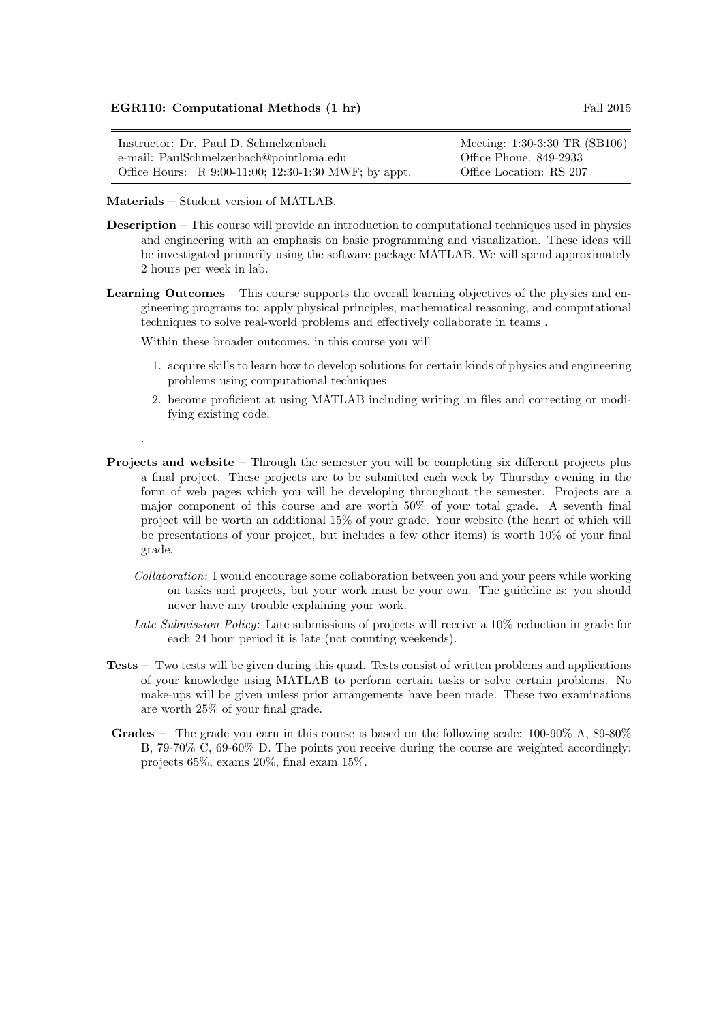| Instructor: Dr. Paul D. Schmelzenbach                   | Meeting: 1:30-3:30 TR (SB106) |
|---------------------------------------------------------|-------------------------------|
| e-mail: PaulSchmelzenbach@pointloma.edu                 | Office Phone: 849-2933        |
| Office Hours: R $9:00-11:00$ ; 12:30-1:30 MWF; by appt. | Office Location: RS 207       |

Materials – Student version of MATLAB.

.

- Description This course will provide an introduction to computational techniques used in physics and engineering with an emphasis on basic programming and visualization. These ideas will be investigated primarily using the software package MATLAB. We will spend approximately 2 hours per week in lab.
- Learning Outcomes This course supports the overall learning objectives of the physics and engineering programs to: apply physical principles, mathematical reasoning, and computational techniques to solve real-world problems and effectively collaborate in teams .

Within these broader outcomes, in this course you will

- 1. acquire skills to learn how to develop solutions for certain kinds of physics and engineering problems using computational techniques
- 2. become proficient at using MATLAB including writing .m files and correcting or modifying existing code.
- Projects and website Through the semester you will be completing six different projects plus a final project. These projects are to be submitted each week by Thursday evening in the form of web pages which you will be developing throughout the semester. Projects are a major component of this course and are worth 50% of your total grade. A seventh final project will be worth an additional 15% of your grade. Your website (the heart of which will be presentations of your project, but includes a few other items) is worth 10% of your final grade.
	- Collaboration: I would encourage some collaboration between you and your peers while working on tasks and projects, but your work must be your own. The guideline is: you should never have any trouble explaining your work.
	- Late Submission Policy: Late submissions of projects will receive a 10% reduction in grade for each 24 hour period it is late (not counting weekends).
- Tests Two tests will be given during this quad. Tests consist of written problems and applications of your knowledge using MATLAB to perform certain tasks or solve certain problems. No make-ups will be given unless prior arrangements have been made. These two examinations are worth 25% of your final grade.
- Grades The grade you earn in this course is based on the following scale: 100-90% A, 89-80% B, 79-70% C, 69-60% D. The points you receive during the course are weighted accordingly: projects 65%, exams 20%, final exam 15%.